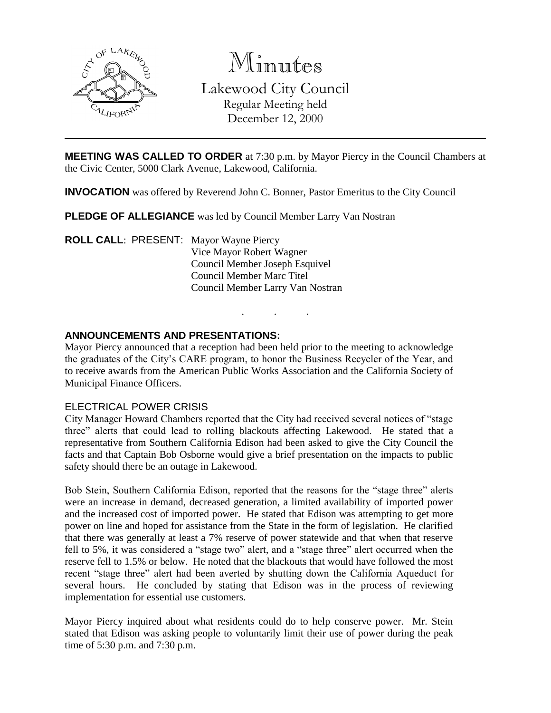

Minutes Lakewood City Council Regular Meeting held December 12, 2000

**MEETING WAS CALLED TO ORDER** at 7:30 p.m. by Mayor Piercy in the Council Chambers at the Civic Center, 5000 Clark Avenue, Lakewood, California.

**INVOCATION** was offered by Reverend John C. Bonner, Pastor Emeritus to the City Council

**PLEDGE OF ALLEGIANCE** was led by Council Member Larry Van Nostran

**ROLL CALL**: PRESENT: Mayor Wayne Piercy Vice Mayor Robert Wagner Council Member Joseph Esquivel Council Member Marc Titel Council Member Larry Van Nostran

## **ANNOUNCEMENTS AND PRESENTATIONS:**

Mayor Piercy announced that a reception had been held prior to the meeting to acknowledge the graduates of the City's CARE program, to honor the Business Recycler of the Year, and to receive awards from the American Public Works Association and the California Society of Municipal Finance Officers.

. . .

### ELECTRICAL POWER CRISIS

City Manager Howard Chambers reported that the City had received several notices of "stage three" alerts that could lead to rolling blackouts affecting Lakewood. He stated that a representative from Southern California Edison had been asked to give the City Council the facts and that Captain Bob Osborne would give a brief presentation on the impacts to public safety should there be an outage in Lakewood.

Bob Stein, Southern California Edison, reported that the reasons for the "stage three" alerts were an increase in demand, decreased generation, a limited availability of imported power and the increased cost of imported power. He stated that Edison was attempting to get more power on line and hoped for assistance from the State in the form of legislation. He clarified that there was generally at least a 7% reserve of power statewide and that when that reserve fell to 5%, it was considered a "stage two" alert, and a "stage three" alert occurred when the reserve fell to 1.5% or below. He noted that the blackouts that would have followed the most recent "stage three" alert had been averted by shutting down the California Aqueduct for several hours. He concluded by stating that Edison was in the process of reviewing implementation for essential use customers.

Mayor Piercy inquired about what residents could do to help conserve power. Mr. Stein stated that Edison was asking people to voluntarily limit their use of power during the peak time of 5:30 p.m. and 7:30 p.m.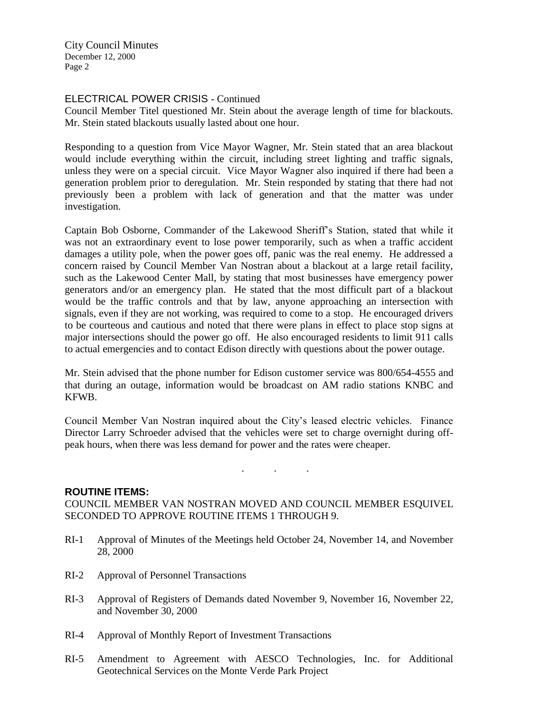City Council Minutes December 12, 2000 Page 2

# ELECTRICAL POWER CRISIS - Continued

Council Member Titel questioned Mr. Stein about the average length of time for blackouts. Mr. Stein stated blackouts usually lasted about one hour.

Responding to a question from Vice Mayor Wagner, Mr. Stein stated that an area blackout would include everything within the circuit, including street lighting and traffic signals, unless they were on a special circuit. Vice Mayor Wagner also inquired if there had been a generation problem prior to deregulation. Mr. Stein responded by stating that there had not previously been a problem with lack of generation and that the matter was under investigation.

Captain Bob Osborne, Commander of the Lakewood Sheriff's Station, stated that while it was not an extraordinary event to lose power temporarily, such as when a traffic accident damages a utility pole, when the power goes off, panic was the real enemy. He addressed a concern raised by Council Member Van Nostran about a blackout at a large retail facility, such as the Lakewood Center Mall, by stating that most businesses have emergency power generators and/or an emergency plan. He stated that the most difficult part of a blackout would be the traffic controls and that by law, anyone approaching an intersection with signals, even if they are not working, was required to come to a stop. He encouraged drivers to be courteous and cautious and noted that there were plans in effect to place stop signs at major intersections should the power go off. He also encouraged residents to limit 911 calls to actual emergencies and to contact Edison directly with questions about the power outage.

Mr. Stein advised that the phone number for Edison customer service was 800/654-4555 and that during an outage, information would be broadcast on AM radio stations KNBC and KFWB.

Council Member Van Nostran inquired about the City's leased electric vehicles. Finance Director Larry Schroeder advised that the vehicles were set to charge overnight during offpeak hours, when there was less demand for power and the rates were cheaper.

. . .

## **ROUTINE ITEMS:**

COUNCIL MEMBER VAN NOSTRAN MOVED AND COUNCIL MEMBER ESQUIVEL SECONDED TO APPROVE ROUTINE ITEMS 1 THROUGH 9.

- RI-1 Approval of Minutes of the Meetings held October 24, November 14, and November 28, 2000
- RI-2 Approval of Personnel Transactions
- RI-3 Approval of Registers of Demands dated November 9, November 16, November 22, and November 30, 2000
- RI-4 Approval of Monthly Report of Investment Transactions
- RI-5 Amendment to Agreement with AESCO Technologies, Inc. for Additional Geotechnical Services on the Monte Verde Park Project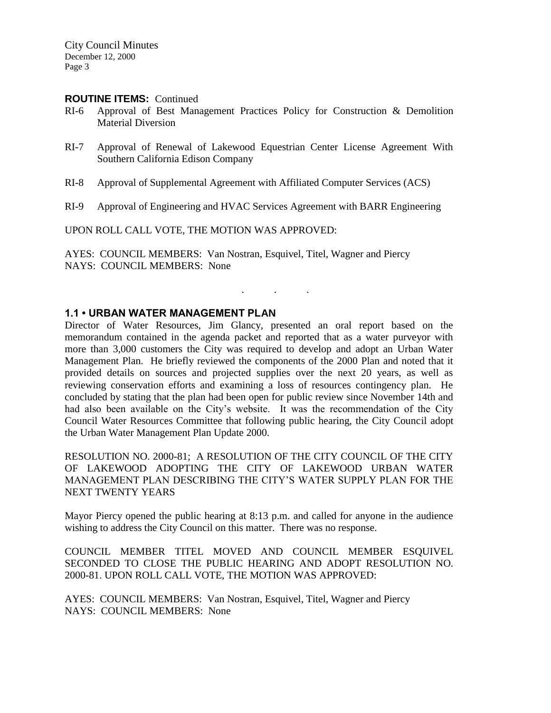### **ROUTINE ITEMS:** Continued

- RI-6 Approval of Best Management Practices Policy for Construction & Demolition Material Diversion
- RI-7 Approval of Renewal of Lakewood Equestrian Center License Agreement With Southern California Edison Company
- RI-8 Approval of Supplemental Agreement with Affiliated Computer Services (ACS)
- RI-9 Approval of Engineering and HVAC Services Agreement with BARR Engineering

UPON ROLL CALL VOTE, THE MOTION WAS APPROVED:

AYES: COUNCIL MEMBERS: Van Nostran, Esquivel, Titel, Wagner and Piercy NAYS: COUNCIL MEMBERS: None

## **1.1 • URBAN WATER MANAGEMENT PLAN**

Director of Water Resources, Jim Glancy, presented an oral report based on the memorandum contained in the agenda packet and reported that as a water purveyor with more than 3,000 customers the City was required to develop and adopt an Urban Water Management Plan. He briefly reviewed the components of the 2000 Plan and noted that it provided details on sources and projected supplies over the next 20 years, as well as reviewing conservation efforts and examining a loss of resources contingency plan. He concluded by stating that the plan had been open for public review since November 14th and had also been available on the City's website. It was the recommendation of the City Council Water Resources Committee that following public hearing, the City Council adopt the Urban Water Management Plan Update 2000.

. . .

RESOLUTION NO. 2000-81; A RESOLUTION OF THE CITY COUNCIL OF THE CITY OF LAKEWOOD ADOPTING THE CITY OF LAKEWOOD URBAN WATER MANAGEMENT PLAN DESCRIBING THE CITY'S WATER SUPPLY PLAN FOR THE NEXT TWENTY YEARS

Mayor Piercy opened the public hearing at 8:13 p.m. and called for anyone in the audience wishing to address the City Council on this matter. There was no response.

COUNCIL MEMBER TITEL MOVED AND COUNCIL MEMBER ESQUIVEL SECONDED TO CLOSE THE PUBLIC HEARING AND ADOPT RESOLUTION NO. 2000-81. UPON ROLL CALL VOTE, THE MOTION WAS APPROVED:

AYES: COUNCIL MEMBERS: Van Nostran, Esquivel, Titel, Wagner and Piercy NAYS: COUNCIL MEMBERS: None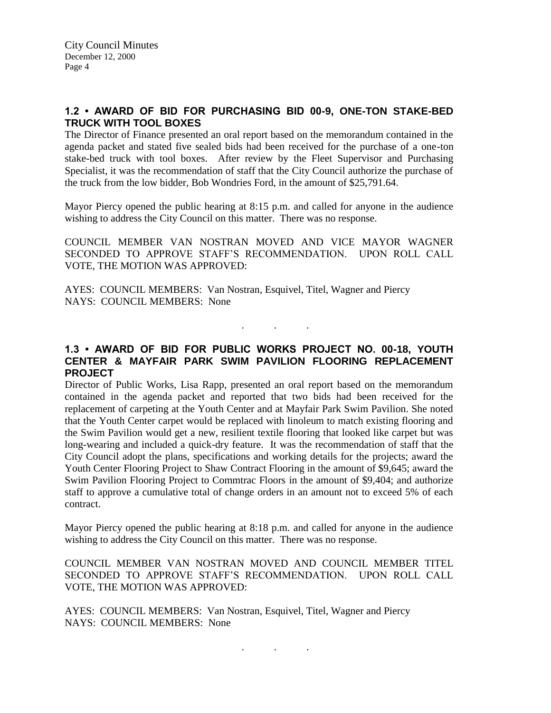# **1.2 • AWARD OF BID FOR PURCHASING BID 00-9, ONE-TON STAKE-BED TRUCK WITH TOOL BOXES**

The Director of Finance presented an oral report based on the memorandum contained in the agenda packet and stated five sealed bids had been received for the purchase of a one-ton stake-bed truck with tool boxes. After review by the Fleet Supervisor and Purchasing Specialist, it was the recommendation of staff that the City Council authorize the purchase of the truck from the low bidder, Bob Wondries Ford, in the amount of \$25,791.64.

Mayor Piercy opened the public hearing at 8:15 p.m. and called for anyone in the audience wishing to address the City Council on this matter. There was no response.

COUNCIL MEMBER VAN NOSTRAN MOVED AND VICE MAYOR WAGNER SECONDED TO APPROVE STAFF'S RECOMMENDATION. UPON ROLL CALL VOTE, THE MOTION WAS APPROVED:

AYES: COUNCIL MEMBERS: Van Nostran, Esquivel, Titel, Wagner and Piercy NAYS: COUNCIL MEMBERS: None

# **1.3 • AWARD OF BID FOR PUBLIC WORKS PROJECT NO. 00-18, YOUTH CENTER & MAYFAIR PARK SWIM PAVILION FLOORING REPLACEMENT PROJECT**

. . .

Director of Public Works, Lisa Rapp, presented an oral report based on the memorandum contained in the agenda packet and reported that two bids had been received for the replacement of carpeting at the Youth Center and at Mayfair Park Swim Pavilion. She noted that the Youth Center carpet would be replaced with linoleum to match existing flooring and the Swim Pavilion would get a new, resilient textile flooring that looked like carpet but was long-wearing and included a quick-dry feature. It was the recommendation of staff that the City Council adopt the plans, specifications and working details for the projects; award the Youth Center Flooring Project to Shaw Contract Flooring in the amount of \$9,645; award the Swim Pavilion Flooring Project to Commtrac Floors in the amount of \$9,404; and authorize staff to approve a cumulative total of change orders in an amount not to exceed 5% of each contract.

Mayor Piercy opened the public hearing at 8:18 p.m. and called for anyone in the audience wishing to address the City Council on this matter. There was no response.

COUNCIL MEMBER VAN NOSTRAN MOVED AND COUNCIL MEMBER TITEL SECONDED TO APPROVE STAFF'S RECOMMENDATION. UPON ROLL CALL VOTE, THE MOTION WAS APPROVED:

AYES: COUNCIL MEMBERS: Van Nostran, Esquivel, Titel, Wagner and Piercy NAYS: COUNCIL MEMBERS: None

. . .